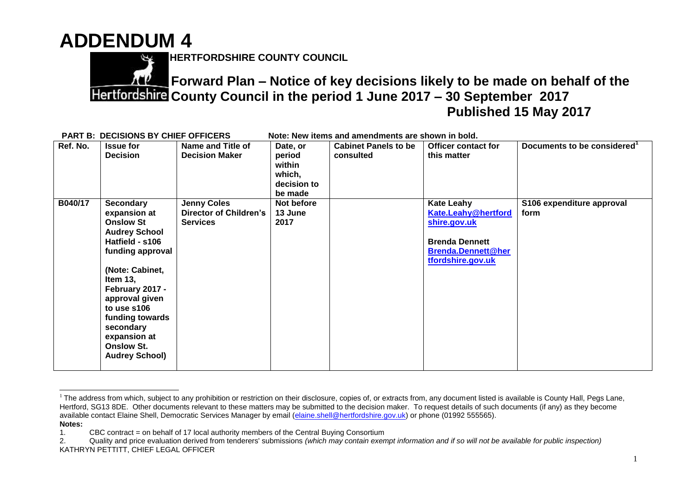## **ADDENDUM 4**



 $\overline{a}$ 

**HERTFORDSHIRE COUNTY COUNCIL**

**Forward Plan – Notice of key decisions likely to be made on behalf of the County Council in the period 1 June 2017 – 30 September 2017 Published 15 May 2017**

| <b>PART B: DECISIONS BY CHIEF OFFICERS</b><br>Note: New items and amendments are shown in bold. |          |                                                                                                                                                                                                                                                                                                        |                                                                        |                                                                  |                                          |                                                                                                                                            |                                   |  |  |  |
|-------------------------------------------------------------------------------------------------|----------|--------------------------------------------------------------------------------------------------------------------------------------------------------------------------------------------------------------------------------------------------------------------------------------------------------|------------------------------------------------------------------------|------------------------------------------------------------------|------------------------------------------|--------------------------------------------------------------------------------------------------------------------------------------------|-----------------------------------|--|--|--|
|                                                                                                 | Ref. No. | <b>Issue for</b><br><b>Decision</b>                                                                                                                                                                                                                                                                    | Name and Title of<br><b>Decision Maker</b>                             | Date, or<br>period<br>within<br>which,<br>decision to<br>be made | <b>Cabinet Panels to be</b><br>consulted | <b>Officer contact for</b><br>this matter                                                                                                  | Documents to be considered        |  |  |  |
|                                                                                                 | B040/17  | <b>Secondary</b><br>expansion at<br><b>Onslow St</b><br><b>Audrey School</b><br>Hatfield - s106<br>funding approval<br>(Note: Cabinet,<br>Item $13,$<br>February 2017 -<br>approval given<br>to use s106<br>funding towards<br>secondary<br>expansion at<br><b>Onslow St.</b><br><b>Audrey School)</b> | <b>Jenny Coles</b><br><b>Director of Children's</b><br><b>Services</b> | Not before<br>13 June<br>2017                                    |                                          | <b>Kate Leahy</b><br><b>Kate.Leahy@hertford</b><br>shire.gov.uk<br><b>Brenda Dennett</b><br><b>Brenda.Dennett@her</b><br>tfordshire.gov.uk | S106 expenditure approval<br>form |  |  |  |

<sup>&</sup>lt;sup>1</sup> The address from which, subject to any prohibition or restriction on their disclosure, copies of, or extracts from, any document listed is available is County Hall, Pegs Lane, Hertford, SG13 8DE. Other documents relevant to these matters may be submitted to the decision maker. To request details of such documents (if any) as they become available contact Elaine Shell, Democratic Services Manager by email [\(elaine.shell@hertfordshire.gov.uk\)](mailto:elaine.shell@hertfordshire.gov.uk) or phone (01992 555565). **Notes:** 

<sup>1.</sup> CBC contract = on behalf of 17 local authority members of the Central Buying Consortium

<sup>2.</sup> Quality and price evaluation derived from tenderers' submissions *(which may contain exempt information and if so will not be available for public inspection)* KATHRYN PETTITT, CHIEF LEGAL OFFICER